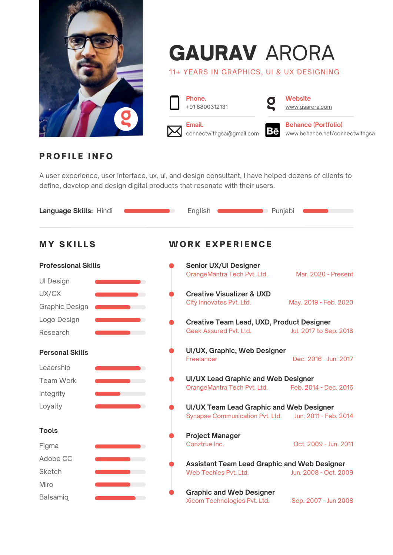

# GAURAV ARORA

11+ YEARS IN GRAPHICS, UI & UX DESIGNING



**Phone.**<br>+918800312131 **Website** 



[www.gsarora.com](http://www.gsarora.com/)



**Email. Behance (Portfolio)**<br> **Behance (Portfolio)**<br> **Behance net/con Behance net/con** connectwithgsa@gmail.com **BC** [www.behance.net/connectwithgsa](http://www.behance.net/connectwithgsa)

# **PROFILE INFO**

A user experience, user interface, ux, ui, and design consultant, I have helped dozens of clients to define, develop and design digital products that resonate with their users.

| Language Skills: Hindi     | $\blacksquare$         | <b>Punjabi</b> Punjabi<br>English                               |                        |
|----------------------------|------------------------|-----------------------------------------------------------------|------------------------|
| <b>MY SKILLS</b>           | <b>WORK EXPERIENCE</b> |                                                                 |                        |
| <b>Professional Skills</b> |                        | <b>Senior UX/UI Designer</b>                                    |                        |
| <b>UI Design</b>           |                        | OrangeMantra Tech Pvt. Ltd.                                     | Mar. 2020 - Present    |
| UX/CX                      |                        | <b>Creative Visualizer &amp; UXD</b>                            |                        |
| <b>Graphic Design</b>      |                        | City Innovates Pvt. Ltd.                                        | May. 2019 - Feb. 2020  |
| Logo Design                | $\blacksquare$         | <b>Creative Team Lead, UXD, Product Designer</b>                |                        |
| Research                   |                        | Geek Assured Pvt. Ltd.                                          | Jul. 2017 to Sep. 2018 |
| <b>Personal Skills</b>     |                        | UI/UX, Graphic, Web Designer<br>Freelancer                      | Dec. 2016 - Jun. 2017  |
| Leaership                  |                        |                                                                 |                        |
| <b>Team Work</b>           |                        | UI/UX Lead Graphic and Web Designer                             |                        |
| Integrity                  |                        | OrangeMantra Tech Pvt. Ltd.                                     | Feb. 2014 - Dec. 2016  |
| Loyalty                    |                        | UI/UX Team Lead Graphic and Web Designer                        |                        |
|                            |                        | Synapse Communication Pvt. Ltd.                                 | Jun. 2011 - Feb. 2014  |
| <b>Tools</b>               |                        | <b>Project Manager</b>                                          |                        |
| Figma                      |                        | Conztrue Inc.                                                   | Oct. 2009 - Jun. 2011  |
| Adobe CC                   |                        | <b>Assistant Team Lead Graphic and Web Designer</b>             |                        |
| Sketch                     |                        | Web Techies Pvt. Ltd.                                           | Jun. 2008 - Oct. 2009  |
| Miro                       |                        |                                                                 |                        |
| Balsamiq                   |                        | <b>Graphic and Web Designer</b><br>Xicom Technologies Pvt. Ltd. | Sep. 2007 - Jun 2008   |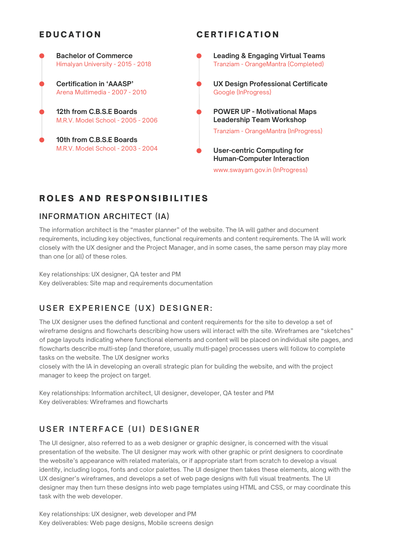## **EDUCATION**

#### **CERTIFICATION**



# ROLES AND RESPONSIBILITIES

### **INFORMATION ARCHITECT (IA)**

The information architect is the "master planner" of the website. The IA will gather and document requirements, including key objectives, functional requirements and content requirements. The IA will work closely with the UX designer and the Project Manager, and in some cases, the same person may play more than one (or all) of these roles.

Key relationships: UX designer, QA tester and PM Key deliverables: Site map and requirements documentation

# USER EXPERIENCE (UX) DESIGNER:

The UX designer uses the defined functional and content requirements for the site to develop a set of wireframe designs and flowcharts describing how users will interact with the site. Wireframes are "sketches" of page layouts indicating where functional elements and content will be placed on individual site pages, and flowcharts describe multi-step (and therefore, usually multi-page) processes users will follow to complete tasks on the website. The UX designer works

closely with the IA in developing an overall strategic plan for building the website, and with the project manager to keep the project on target.

Key relationships: Information architect, UI designer, developer, QA tester and PM Key deliverables: Wireframes and flowcharts

# **U S E R I N T E R F A C E ( U I ) D E S I G N E R**

The UI designer, also referred to as a web designer or graphic designer, is concerned with the visual presentation of the website. The UI designer may work with other graphic or print designers to coordinate the website's appearance with related materials, or if appropriate start from scratch to develop a visual identity, including logos, fonts and color palettes. The UI designer then takes these elements, along with the UX designer's wireframes, and develops a set of web page designs with full visual treatments. The UI designer may then turn these designs into web page templates using HTML and CSS, or may coordinate this task with the web developer.

Key relationships: UX designer, web developer and PM Key deliverables: Web page designs, Mobile screens design